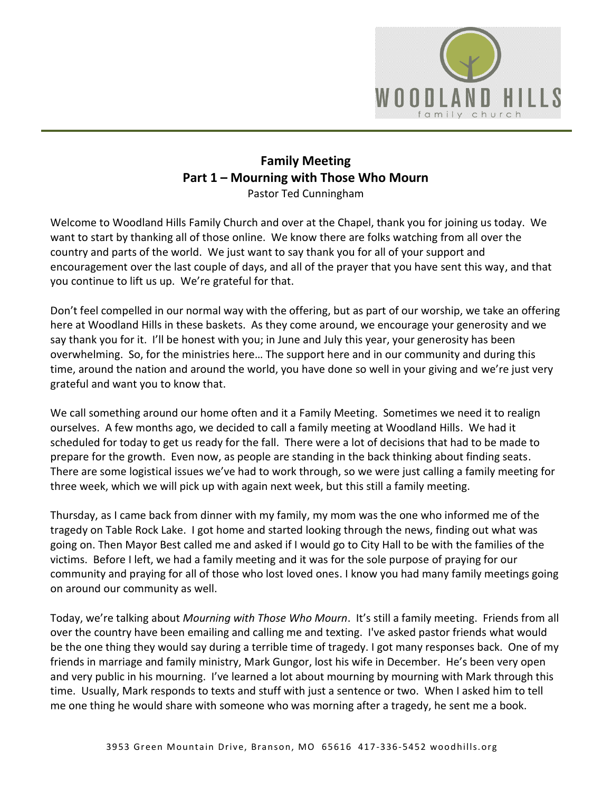

## **Family Meeting Part 1 – Mourning with Those Who Mourn** Pastor Ted Cunningham

Welcome to Woodland Hills Family Church and over at the Chapel, thank you for joining us today. We want to start by thanking all of those online. We know there are folks watching from all over the country and parts of the world. We just want to say thank you for all of your support and encouragement over the last couple of days, and all of the prayer that you have sent this way, and that you continue to lift us up. We're grateful for that.

Don't feel compelled in our normal way with the offering, but as part of our worship, we take an offering here at Woodland Hills in these baskets. As they come around, we encourage your generosity and we say thank you for it. I'll be honest with you; in June and July this year, your generosity has been overwhelming. So, for the ministries here… The support here and in our community and during this time, around the nation and around the world, you have done so well in your giving and we're just very grateful and want you to know that.

We call something around our home often and it a Family Meeting. Sometimes we need it to realign ourselves. A few months ago, we decided to call a family meeting at Woodland Hills. We had it scheduled for today to get us ready for the fall. There were a lot of decisions that had to be made to prepare for the growth. Even now, as people are standing in the back thinking about finding seats. There are some logistical issues we've had to work through, so we were just calling a family meeting for three week, which we will pick up with again next week, but this still a family meeting.

Thursday, as I came back from dinner with my family, my mom was the one who informed me of the tragedy on Table Rock Lake. I got home and started looking through the news, finding out what was going on. Then Mayor Best called me and asked if I would go to City Hall to be with the families of the victims. Before I left, we had a family meeting and it was for the sole purpose of praying for our community and praying for all of those who lost loved ones. I know you had many family meetings going on around our community as well.

Today, we're talking about *Mourning with Those Who Mourn*. It's still a family meeting. Friends from all over the country have been emailing and calling me and texting. I've asked pastor friends what would be the one thing they would say during a terrible time of tragedy. I got many responses back. One of my friends in marriage and family ministry, Mark Gungor, lost his wife in December. He's been very open and very public in his mourning. I've learned a lot about mourning by mourning with Mark through this time. Usually, Mark responds to texts and stuff with just a sentence or two. When I asked him to tell me one thing he would share with someone who was morning after a tragedy, he sent me a book.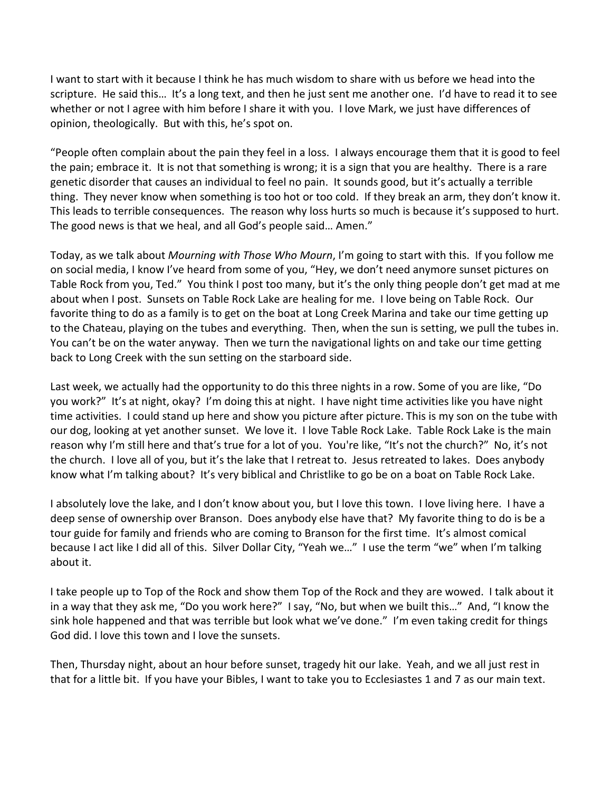I want to start with it because I think he has much wisdom to share with us before we head into the scripture. He said this… It's a long text, and then he just sent me another one. I'd have to read it to see whether or not I agree with him before I share it with you. I love Mark, we just have differences of opinion, theologically. But with this, he's spot on.

"People often complain about the pain they feel in a loss. I always encourage them that it is good to feel the pain; embrace it. It is not that something is wrong; it is a sign that you are healthy. There is a rare genetic disorder that causes an individual to feel no pain. It sounds good, but it's actually a terrible thing. They never know when something is too hot or too cold. If they break an arm, they don't know it. This leads to terrible consequences. The reason why loss hurts so much is because it's supposed to hurt. The good news is that we heal, and all God's people said… Amen."

Today, as we talk about *Mourning with Those Who Mourn*, I'm going to start with this. If you follow me on social media, I know I've heard from some of you, "Hey, we don't need anymore sunset pictures on Table Rock from you, Ted." You think I post too many, but it's the only thing people don't get mad at me about when I post. Sunsets on Table Rock Lake are healing for me. I love being on Table Rock. Our favorite thing to do as a family is to get on the boat at Long Creek Marina and take our time getting up to the Chateau, playing on the tubes and everything. Then, when the sun is setting, we pull the tubes in. You can't be on the water anyway. Then we turn the navigational lights on and take our time getting back to Long Creek with the sun setting on the starboard side.

Last week, we actually had the opportunity to do this three nights in a row. Some of you are like, "Do you work?" It's at night, okay? I'm doing this at night. I have night time activities like you have night time activities. I could stand up here and show you picture after picture. This is my son on the tube with our dog, looking at yet another sunset. We love it. I love Table Rock Lake. Table Rock Lake is the main reason why I'm still here and that's true for a lot of you. You're like, "It's not the church?" No, it's not the church. I love all of you, but it's the lake that I retreat to. Jesus retreated to lakes. Does anybody know what I'm talking about? It's very biblical and Christlike to go be on a boat on Table Rock Lake.

I absolutely love the lake, and I don't know about you, but I love this town. I love living here. I have a deep sense of ownership over Branson. Does anybody else have that? My favorite thing to do is be a tour guide for family and friends who are coming to Branson for the first time. It's almost comical because I act like I did all of this. Silver Dollar City, "Yeah we…" I use the term "we" when I'm talking about it.

I take people up to Top of the Rock and show them Top of the Rock and they are wowed. I talk about it in a way that they ask me, "Do you work here?" I say, "No, but when we built this…" And, "I know the sink hole happened and that was terrible but look what we've done." I'm even taking credit for things God did. I love this town and I love the sunsets.

Then, Thursday night, about an hour before sunset, tragedy hit our lake. Yeah, and we all just rest in that for a little bit. If you have your Bibles, I want to take you to Ecclesiastes 1 and 7 as our main text.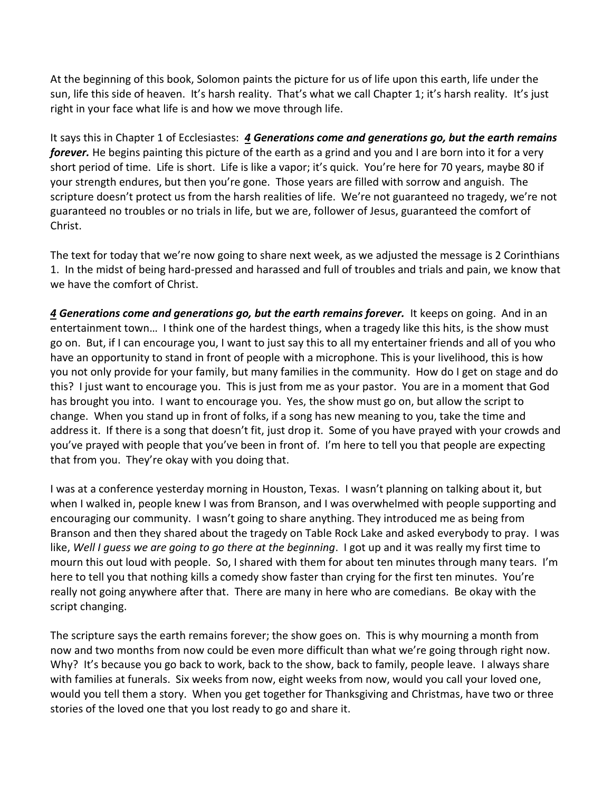At the beginning of this book, Solomon paints the picture for us of life upon this earth, life under the sun, life this side of heaven. It's harsh reality. That's what we call Chapter 1; it's harsh reality. It's just right in your face what life is and how we move through life.

It says this in Chapter 1 of Ecclesiastes: *[4](https://www.studylight.org/desk/?q=ec%201:4&t1=en_niv&sr=1) Generations come and generations go, but the earth remains forever.* He begins painting this picture of the earth as a grind and you and I are born into it for a very short period of time. Life is short. Life is like a vapor; it's quick. You're here for 70 years, maybe 80 if your strength endures, but then you're gone. Those years are filled with sorrow and anguish. The scripture doesn't protect us from the harsh realities of life. We're not guaranteed no tragedy, we're not guaranteed no troubles or no trials in life, but we are, follower of Jesus, guaranteed the comfort of Christ.

The text for today that we're now going to share next week, as we adjusted the message is 2 Corinthians 1. In the midst of being hard-pressed and harassed and full of troubles and trials and pain, we know that we have the comfort of Christ.

*[4](https://www.studylight.org/desk/?q=ec%201:4&t1=en_niv&sr=1) Generations come and generations go, but the earth remains forever.* It keeps on going. And in an entertainment town… I think one of the hardest things, when a tragedy like this hits, is the show must go on. But, if I can encourage you, I want to just say this to all my entertainer friends and all of you who have an opportunity to stand in front of people with a microphone. This is your livelihood, this is how you not only provide for your family, but many families in the community. How do I get on stage and do this? I just want to encourage you. This is just from me as your pastor. You are in a moment that God has brought you into. I want to encourage you. Yes, the show must go on, but allow the script to change. When you stand up in front of folks, if a song has new meaning to you, take the time and address it. If there is a song that doesn't fit, just drop it. Some of you have prayed with your crowds and you've prayed with people that you've been in front of. I'm here to tell you that people are expecting that from you. They're okay with you doing that.

I was at a conference yesterday morning in Houston, Texas. I wasn't planning on talking about it, but when I walked in, people knew I was from Branson, and I was overwhelmed with people supporting and encouraging our community. I wasn't going to share anything. They introduced me as being from Branson and then they shared about the tragedy on Table Rock Lake and asked everybody to pray. I was like, *Well I guess we are going to go there at the beginning*. I got up and it was really my first time to mourn this out loud with people. So, I shared with them for about ten minutes through many tears. I'm here to tell you that nothing kills a comedy show faster than crying for the first ten minutes. You're really not going anywhere after that. There are many in here who are comedians. Be okay with the script changing.

The scripture says the earth remains forever; the show goes on. This is why mourning a month from now and two months from now could be even more difficult than what we're going through right now. Why? It's because you go back to work, back to the show, back to family, people leave. I always share with families at funerals. Six weeks from now, eight weeks from now, would you call your loved one, would you tell them a story. When you get together for Thanksgiving and Christmas, have two or three stories of the loved one that you lost ready to go and share it.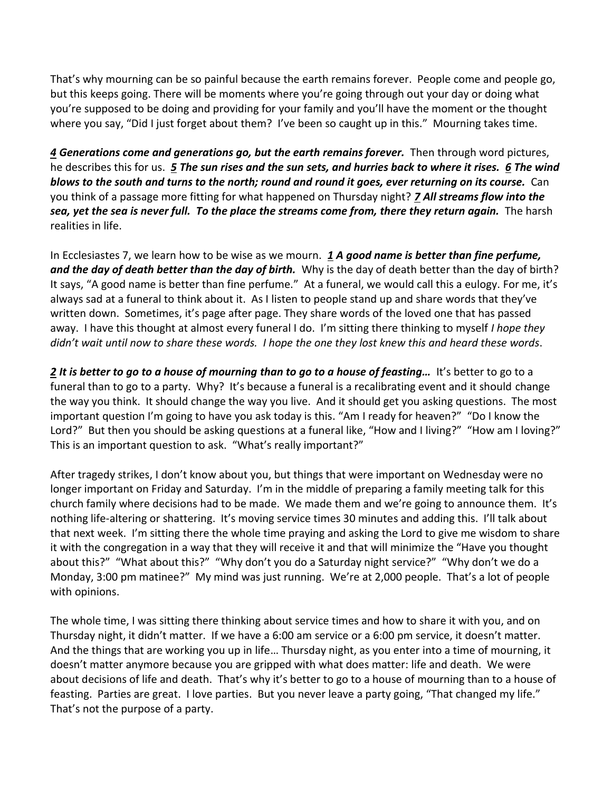That's why mourning can be so painful because the earth remains forever. People come and people go, but this keeps going. There will be moments where you're going through out your day or doing what you're supposed to be doing and providing for your family and you'll have the moment or the thought where you say, "Did I just forget about them? I've been so caught up in this." Mourning takes time.

*[4](https://www.studylight.org/desk/?q=ec%201:4&t1=en_niv&sr=1) Generations come and generations go, but the earth remains forever.* Then through word pictures, he describes this for us. *[5](https://www.studylight.org/desk/?q=ec%201:5&t1=en_niv&sr=1) The sun rises and the sun sets, and hurries back to where it rises. [6](https://www.studylight.org/desk/?q=ec%201:6&t1=en_niv&sr=1) The wind blows to the south and turns to the north; round and round it goes, ever returning on its course.* Can you think of a passage more fitting for what happened on Thursday night? *[7](https://www.studylight.org/desk/?q=ec%201:7&t1=en_niv&sr=1) All streams flow into the sea, yet the sea is never full. To the place the streams come from, there they return again.* The harsh realities in life.

In Ecclesiastes 7, we learn how to be wise as we mourn. *[1](https://www.studylight.org/desk/?q=ec%207:1&t1=en_niv&sr=1) A good name is better than fine perfume, and the day of death better than the day of birth.* Why is the day of death better than the day of birth? It says, "A good name is better than fine perfume." At a funeral, we would call this a eulogy. For me, it's always sad at a funeral to think about it. As I listen to people stand up and share words that they've written down. Sometimes, it's page after page. They share words of the loved one that has passed away. I have this thought at almost every funeral I do. I'm sitting there thinking to myself *I hope they didn't wait until now to share these words. I hope the one they lost knew this and heard these words*.

*[2](https://www.studylight.org/desk/?q=ec%207:2&t1=en_niv&sr=1) It is better to go to a house of mourning than to go to a house of feasting…* It's better to go to a funeral than to go to a party. Why? It's because a funeral is a recalibrating event and it should change the way you think. It should change the way you live. And it should get you asking questions. The most important question I'm going to have you ask today is this. "Am I ready for heaven?" "Do I know the Lord?" But then you should be asking questions at a funeral like, "How and I living?" "How am I loving?" This is an important question to ask. "What's really important?"

After tragedy strikes, I don't know about you, but things that were important on Wednesday were no longer important on Friday and Saturday. I'm in the middle of preparing a family meeting talk for this church family where decisions had to be made. We made them and we're going to announce them. It's nothing life-altering or shattering. It's moving service times 30 minutes and adding this. I'll talk about that next week. I'm sitting there the whole time praying and asking the Lord to give me wisdom to share it with the congregation in a way that they will receive it and that will minimize the "Have you thought about this?" "What about this?" "Why don't you do a Saturday night service?" "Why don't we do a Monday, 3:00 pm matinee?" My mind was just running. We're at 2,000 people. That's a lot of people with opinions.

The whole time, I was sitting there thinking about service times and how to share it with you, and on Thursday night, it didn't matter. If we have a 6:00 am service or a 6:00 pm service, it doesn't matter. And the things that are working you up in life… Thursday night, as you enter into a time of mourning, it doesn't matter anymore because you are gripped with what does matter: life and death. We were about decisions of life and death. That's why it's better to go to a house of mourning than to a house of feasting. Parties are great. I love parties. But you never leave a party going, "That changed my life." That's not the purpose of a party.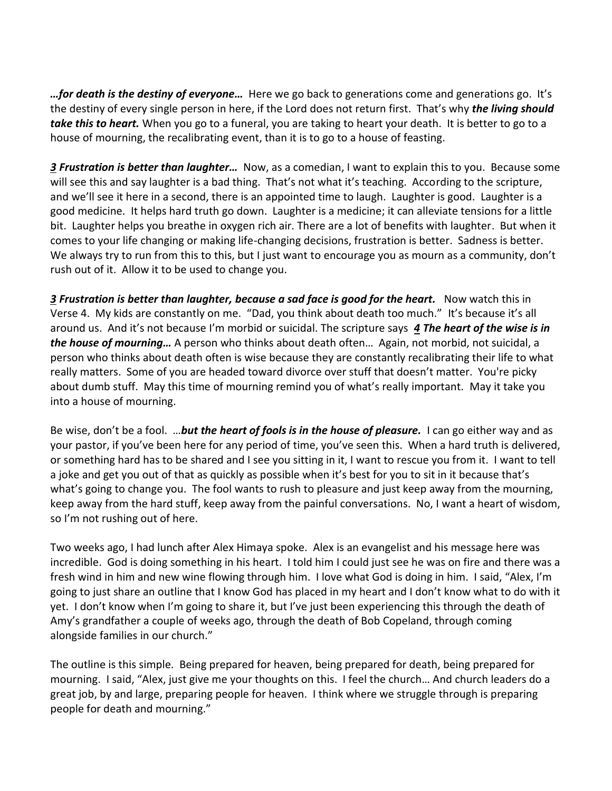*…for death is the destiny of everyone…* Here we go back to generations come and generations go. It's the destiny of every single person in here, if the Lord does not return first. That's why *the living should take this to heart.* When you go to a funeral, you are taking to heart your death. It is better to go to a house of mourning, the recalibrating event, than it is to go to a house of feasting.

*[3](https://www.studylight.org/desk/?q=ec%207:3&t1=en_niv&sr=1) Frustration is better than laughter…* Now, as a comedian, I want to explain this to you. Because some will see this and say laughter is a bad thing. That's not what it's teaching. According to the scripture, and we'll see it here in a second, there is an appointed time to laugh. Laughter is good. Laughter is a good medicine. It helps hard truth go down. Laughter is a medicine; it can alleviate tensions for a little bit. Laughter helps you breathe in oxygen rich air. There are a lot of benefits with laughter. But when it comes to your life changing or making life-changing decisions, frustration is better. Sadness is better. We always try to run from this to this, but I just want to encourage you as mourn as a community, don't rush out of it. Allow it to be used to change you.

**[3](https://www.studylight.org/desk/?q=ec%207:3&t1=en_niv&sr=1) Frustration is better than laughter, because a sad face is good for the heart. Now watch this in** Verse 4. My kids are constantly on me. "Dad, you think about death too much." It's because it's all around us. And it's not because I'm morbid or suicidal. The scripture says *[4](https://www.studylight.org/desk/?q=ec%207:4&t1=en_niv&sr=1) The heart of the wise is in the house of mourning…* A person who thinks about death often… Again, not morbid, not suicidal, a person who thinks about death often is wise because they are constantly recalibrating their life to what really matters. Some of you are headed toward divorce over stuff that doesn't matter. You're picky about dumb stuff. May this time of mourning remind you of what's really important. May it take you into a house of mourning.

Be wise, don't be a fool. …*but the heart of fools is in the house of pleasure.* I can go either way and as your pastor, if you've been here for any period of time, you've seen this. When a hard truth is delivered, or something hard has to be shared and I see you sitting in it, I want to rescue you from it. I want to tell a joke and get you out of that as quickly as possible when it's best for you to sit in it because that's what's going to change you. The fool wants to rush to pleasure and just keep away from the mourning, keep away from the hard stuff, keep away from the painful conversations. No, I want a heart of wisdom, so I'm not rushing out of here.

Two weeks ago, I had lunch after Alex Himaya spoke. Alex is an evangelist and his message here was incredible. God is doing something in his heart. I told him I could just see he was on fire and there was a fresh wind in him and new wine flowing through him. I love what God is doing in him. I said, "Alex, I'm going to just share an outline that I know God has placed in my heart and I don't know what to do with it yet. I don't know when I'm going to share it, but I've just been experiencing this through the death of Amy's grandfather a couple of weeks ago, through the death of Bob Copeland, through coming alongside families in our church."

The outline is this simple. Being prepared for heaven, being prepared for death, being prepared for mourning. I said, "Alex, just give me your thoughts on this. I feel the church… And church leaders do a great job, by and large, preparing people for heaven. I think where we struggle through is preparing people for death and mourning."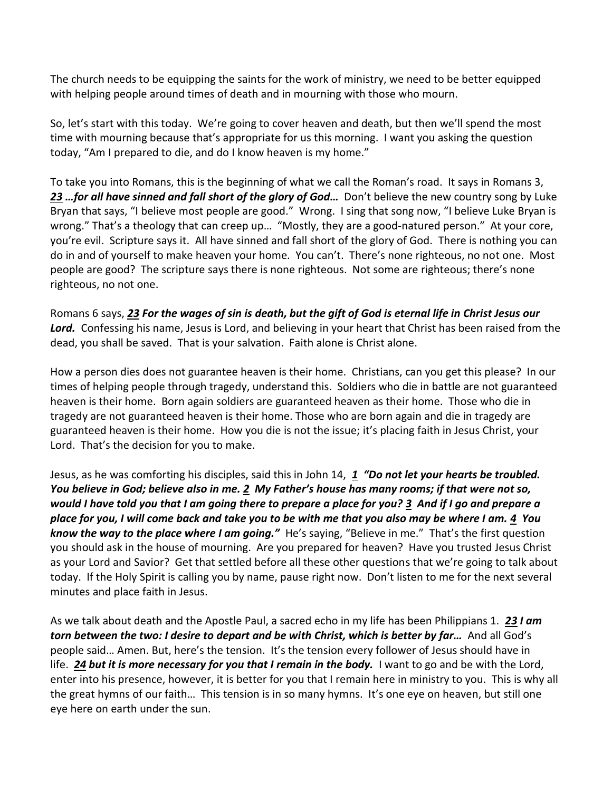The church needs to be equipping the saints for the work of ministry, we need to be better equipped with helping people around times of death and in mourning with those who mourn.

So, let's start with this today. We're going to cover heaven and death, but then we'll spend the most time with mourning because that's appropriate for us this morning. I want you asking the question today, "Am I prepared to die, and do I know heaven is my home."

To take you into Romans, this is the beginning of what we call the Roman's road. It says in Romans 3, [23](https://www.studylight.org/desk/?q=ro%203:23&t1=en_niv&sr=1) *…for all have sinned and fall short of the glory of God...* Don't believe the new country song by Luke Bryan that says, "I believe most people are good." Wrong. I sing that song now, "I believe Luke Bryan is wrong." That's a theology that can creep up… "Mostly, they are a good-natured person." At your core, you're evil. Scripture says it. All have sinned and fall short of the glory of God. There is nothing you can do in and of yourself to make heaven your home. You can't. There's none righteous, no not one. Most people are good? The scripture says there is none righteous. Not some are righteous; there's none righteous, no not one.

Romans 6 says, *[23](https://www.studylight.org/desk/?q=ro%206:23&t1=en_niv&sr=1) For the wages of sin is death, but the gift of God is eternal life in Christ Jesus our Lord.* Confessing his name, Jesus is Lord, and believing in your heart that Christ has been raised from the dead, you shall be saved. That is your salvation. Faith alone is Christ alone.

How a person dies does not guarantee heaven is their home. Christians, can you get this please? In our times of helping people through tragedy, understand this. Soldiers who die in battle are not guaranteed heaven is their home. Born again soldiers are guaranteed heaven as their home. Those who die in tragedy are not guaranteed heaven is their home. Those who are born again and die in tragedy are guaranteed heaven is their home. How you die is not the issue; it's placing faith in Jesus Christ, your Lord. That's the decision for you to make.

Jesus, as he was comforting his disciples, said this in John 14, *[1](https://www.studylight.org/desk/?q=joh%2014:1&t1=en_niv&sr=1) "Do not let your hearts be troubled. You believe in God; believe also in me. [2](https://www.studylight.org/desk/?q=joh%2014:2&t1=en_niv&sr=1) My Father's house has many rooms; if that were not so, would I have told you that I am going there to prepare a place for you? [3](https://www.studylight.org/desk/?q=joh%2014:3&t1=en_niv&sr=1) And if I go and prepare a place for you, I will come back and take you to be with me that you also may be where I am. [4](https://www.studylight.org/desk/?q=joh%2014:4&t1=en_niv&sr=1) You know the way to the place where I am going."* He's saying, "Believe in me." That's the first question you should ask in the house of mourning. Are you prepared for heaven? Have you trusted Jesus Christ as your Lord and Savior? Get that settled before all these other questions that we're going to talk about today. If the Holy Spirit is calling you by name, pause right now. Don't listen to me for the next several minutes and place faith in Jesus.

As we talk about death and the Apostle Paul, a sacred echo in my life has been Philippians 1. *[23](https://www.studylight.org/desk/?q=php%201:23&t1=en_niv&sr=1) I am torn between the two: I desire to depart and be with Christ, which is better by far…* And all God's people said… Amen. But, here's the tension. It's the tension every follower of Jesus should have in life. *[24](https://www.studylight.org/desk/?q=php%201:24&t1=en_niv&sr=1) but it is more necessary for you that I remain in the body.* I want to go and be with the Lord, enter into his presence, however, it is better for you that I remain here in ministry to you. This is why all the great hymns of our faith… This tension is in so many hymns. It's one eye on heaven, but still one eye here on earth under the sun.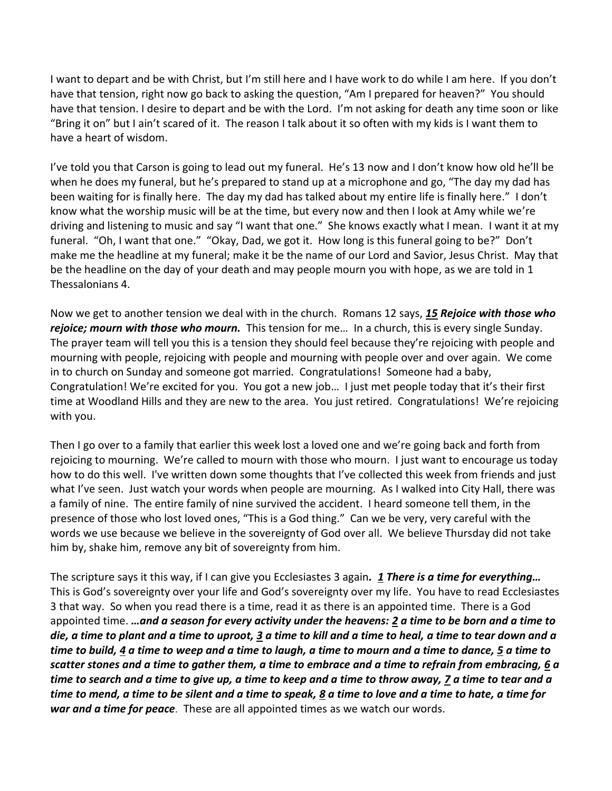I want to depart and be with Christ, but I'm still here and I have work to do while I am here. If you don't have that tension, right now go back to asking the question, "Am I prepared for heaven?" You should have that tension. I desire to depart and be with the Lord. I'm not asking for death any time soon or like "Bring it on" but I ain't scared of it. The reason I talk about it so often with my kids is I want them to have a heart of wisdom.

I've told you that Carson is going to lead out my funeral. He's 13 now and I don't know how old he'll be when he does my funeral, but he's prepared to stand up at a microphone and go, "The day my dad has been waiting for is finally here. The day my dad has talked about my entire life is finally here." I don't know what the worship music will be at the time, but every now and then I look at Amy while we're driving and listening to music and say "I want that one." She knows exactly what I mean. I want it at my funeral. "Oh, I want that one." "Okay, Dad, we got it. How long is this funeral going to be?" Don't make me the headline at my funeral; make it be the name of our Lord and Savior, Jesus Christ. May that be the headline on the day of your death and may people mourn you with hope, as we are told in 1 Thessalonians 4.

Now we get to another tension we deal with in the church. Romans 12 says, *[15](https://www.studylight.org/desk/?q=ro%2012:15&t1=en_niv&sr=1) Rejoice with those who rejoice; mourn with those who mourn.* This tension for me… In a church, this is every single Sunday. The prayer team will tell you this is a tension they should feel because they're rejoicing with people and mourning with people, rejoicing with people and mourning with people over and over again. We come in to church on Sunday and someone got married. Congratulations! Someone had a baby, Congratulation! We're excited for you. You got a new job… I just met people today that it's their first time at Woodland Hills and they are new to the area. You just retired. Congratulations! We're rejoicing with you.

Then I go over to a family that earlier this week lost a loved one and we're going back and forth from rejoicing to mourning. We're called to mourn with those who mourn. I just want to encourage us today how to do this well. I've written down some thoughts that I've collected this week from friends and just what I've seen. Just watch your words when people are mourning. As I walked into City Hall, there was a family of nine. The entire family of nine survived the accident. I heard someone tell them, in the presence of those who lost loved ones, "This is a God thing." Can we be very, very careful with the words we use because we believe in the sovereignty of God over all. We believe Thursday did not take him by, shake him, remove any bit of sovereignty from him.

The scripture says it this way, if I can give you Ecclesiastes 3 again*. [1](https://www.studylight.org/desk/?q=ec%203:1&t1=en_niv&sr=1) There is a time for everything…* This is God's sovereignty over your life and God's sovereignty over my life. You have to read Ecclesiastes 3 that way. So when you read there is a time, read it as there is an appointed time. There is a God appointed time. *…and a season for every activity under the heavens: [2](https://www.studylight.org/desk/?q=ec%203:2&t1=en_niv&sr=1) a time to be born and a time to die, a time to plant and a time to uproot, [3](https://www.studylight.org/desk/?q=ec%203:3&t1=en_niv&sr=1) a time to kill and a time to heal, a time to tear down and a time to build[, 4](https://www.studylight.org/desk/?q=ec%203:4&t1=en_niv&sr=1) a time to weep and a time to laugh, a time to mourn and a time to dance, [5](https://www.studylight.org/desk/?q=ec%203:5&t1=en_niv&sr=1) a time to scatter stones and a time to gather them, a time to embrace and a time to refrain from embracing, [6](https://www.studylight.org/desk/?q=ec%203:6&t1=en_niv&sr=1) a time to search and a time to give up, a time to keep and a time to throw away, [7](https://www.studylight.org/desk/?q=ec%203:7&t1=en_niv&sr=1) a time to tear and a time to mend, a time to be silent and a time to speak, [8](https://www.studylight.org/desk/?q=ec%203:8&t1=en_niv&sr=1) a time to love and a time to hate, a time for war and a time for peace*. These are all appointed times as we watch our words.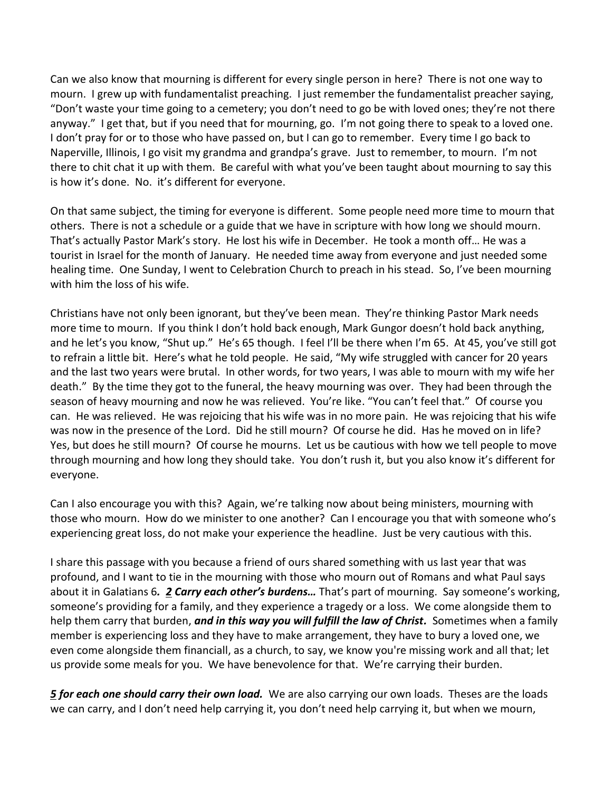Can we also know that mourning is different for every single person in here? There is not one way to mourn. I grew up with fundamentalist preaching. I just remember the fundamentalist preacher saying, "Don't waste your time going to a cemetery; you don't need to go be with loved ones; they're not there anyway." I get that, but if you need that for mourning, go. I'm not going there to speak to a loved one. I don't pray for or to those who have passed on, but I can go to remember. Every time I go back to Naperville, Illinois, I go visit my grandma and grandpa's grave. Just to remember, to mourn. I'm not there to chit chat it up with them. Be careful with what you've been taught about mourning to say this is how it's done. No. it's different for everyone.

On that same subject, the timing for everyone is different. Some people need more time to mourn that others. There is not a schedule or a guide that we have in scripture with how long we should mourn. That's actually Pastor Mark's story. He lost his wife in December. He took a month off… He was a tourist in Israel for the month of January. He needed time away from everyone and just needed some healing time. One Sunday, I went to Celebration Church to preach in his stead. So, I've been mourning with him the loss of his wife.

Christians have not only been ignorant, but they've been mean. They're thinking Pastor Mark needs more time to mourn. If you think I don't hold back enough, Mark Gungor doesn't hold back anything, and he let's you know, "Shut up." He's 65 though. I feel I'll be there when I'm 65. At 45, you've still got to refrain a little bit. Here's what he told people. He said, "My wife struggled with cancer for 20 years and the last two years were brutal. In other words, for two years, I was able to mourn with my wife her death." By the time they got to the funeral, the heavy mourning was over. They had been through the season of heavy mourning and now he was relieved. You're like. "You can't feel that." Of course you can. He was relieved. He was rejoicing that his wife was in no more pain. He was rejoicing that his wife was now in the presence of the Lord. Did he still mourn? Of course he did. Has he moved on in life? Yes, but does he still mourn? Of course he mourns. Let us be cautious with how we tell people to move through mourning and how long they should take. You don't rush it, but you also know it's different for everyone.

Can I also encourage you with this? Again, we're talking now about being ministers, mourning with those who mourn. How do we minister to one another? Can I encourage you that with someone who's experiencing great loss, do not make your experience the headline. Just be very cautious with this.

I share this passage with you because a friend of ours shared something with us last year that was profound, and I want to tie in the mourning with those who mourn out of Romans and what Paul says about it in Galatians 6*. [2](https://www.studylight.org/desk/?q=ga%206:2&t1=en_niv&sr=1) Carry each other's burdens…* That's part of mourning. Say someone's working, someone's providing for a family, and they experience a tragedy or a loss. We come alongside them to help them carry that burden, *and in this way you will fulfill the law of Christ.* Sometimes when a family member is experiencing loss and they have to make arrangement, they have to bury a loved one, we even come alongside them financiall, as a church, to say, we know you're missing work and all that; let us provide some meals for you. We have benevolence for that. We're carrying their burden.

*[5](https://www.studylight.org/desk/?q=ga%206:5&t1=en_niv&sr=1) for each one should carry their own load.* We are also carrying our own loads. Theses are the loads we can carry, and I don't need help carrying it, you don't need help carrying it, but when we mourn,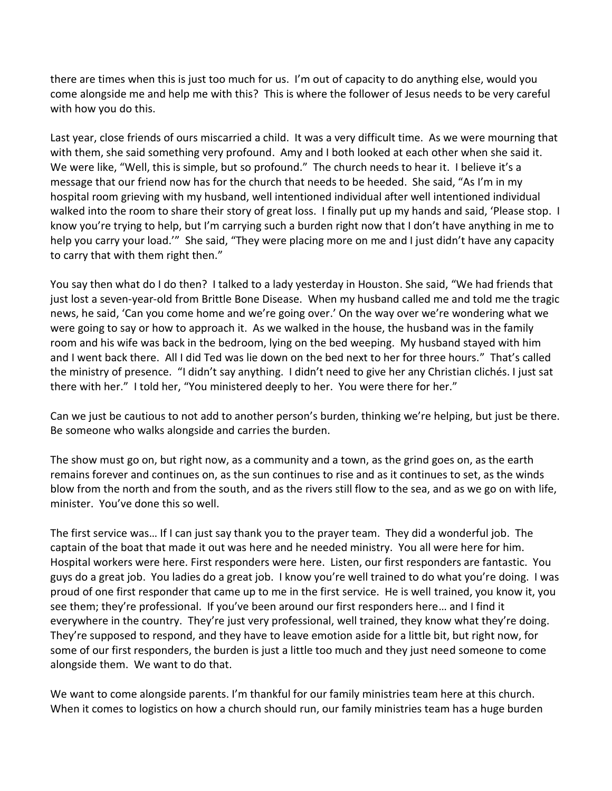there are times when this is just too much for us. I'm out of capacity to do anything else, would you come alongside me and help me with this? This is where the follower of Jesus needs to be very careful with how you do this.

Last year, close friends of ours miscarried a child. It was a very difficult time. As we were mourning that with them, she said something very profound. Amy and I both looked at each other when she said it. We were like, "Well, this is simple, but so profound." The church needs to hear it. I believe it's a message that our friend now has for the church that needs to be heeded. She said, "As I'm in my hospital room grieving with my husband, well intentioned individual after well intentioned individual walked into the room to share their story of great loss. I finally put up my hands and said, 'Please stop. I know you're trying to help, but I'm carrying such a burden right now that I don't have anything in me to help you carry your load.'" She said, "They were placing more on me and I just didn't have any capacity to carry that with them right then."

You say then what do I do then? I talked to a lady yesterday in Houston. She said, "We had friends that just lost a seven-year-old from Brittle Bone Disease. When my husband called me and told me the tragic news, he said, 'Can you come home and we're going over.' On the way over we're wondering what we were going to say or how to approach it. As we walked in the house, the husband was in the family room and his wife was back in the bedroom, lying on the bed weeping. My husband stayed with him and I went back there. All I did Ted was lie down on the bed next to her for three hours." That's called the ministry of presence. "I didn't say anything. I didn't need to give her any Christian clichés. I just sat there with her." I told her, "You ministered deeply to her. You were there for her."

Can we just be cautious to not add to another person's burden, thinking we're helping, but just be there. Be someone who walks alongside and carries the burden.

The show must go on, but right now, as a community and a town, as the grind goes on, as the earth remains forever and continues on, as the sun continues to rise and as it continues to set, as the winds blow from the north and from the south, and as the rivers still flow to the sea, and as we go on with life, minister. You've done this so well.

The first service was… If I can just say thank you to the prayer team. They did a wonderful job. The captain of the boat that made it out was here and he needed ministry. You all were here for him. Hospital workers were here. First responders were here. Listen, our first responders are fantastic. You guys do a great job. You ladies do a great job. I know you're well trained to do what you're doing. I was proud of one first responder that came up to me in the first service. He is well trained, you know it, you see them; they're professional. If you've been around our first responders here… and I find it everywhere in the country. They're just very professional, well trained, they know what they're doing. They're supposed to respond, and they have to leave emotion aside for a little bit, but right now, for some of our first responders, the burden is just a little too much and they just need someone to come alongside them. We want to do that.

We want to come alongside parents. I'm thankful for our family ministries team here at this church. When it comes to logistics on how a church should run, our family ministries team has a huge burden